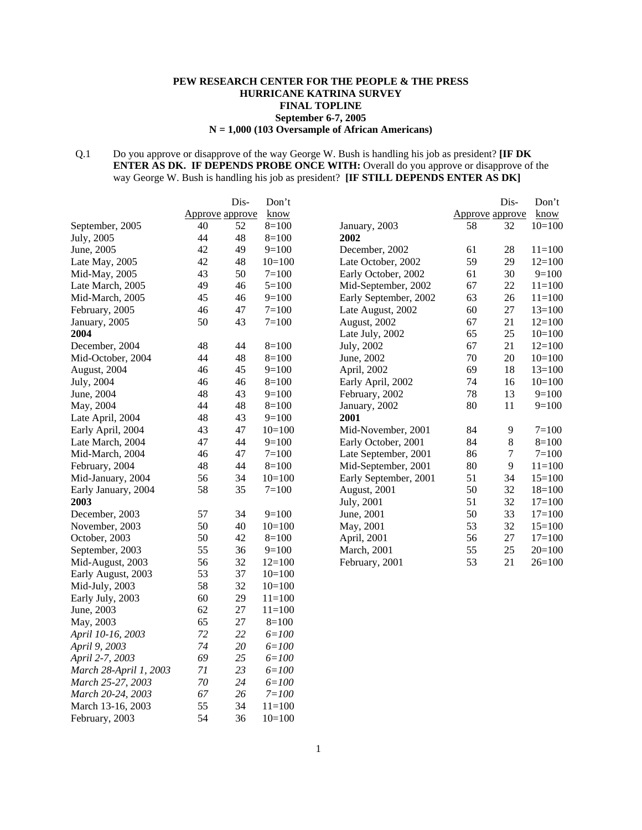### **PEW RESEARCH CENTER FOR THE PEOPLE & THE PRESS HURRICANE KATRINA SURVEY FINAL TOPLINE September 6-7, 2005 N = 1,000 (103 Oversample of African Americans)**

## Q.1 Do you approve or disapprove of the way George W. Bush is handling his job as president? **[IF DK ENTER AS DK. IF DEPENDS PROBE ONCE WITH:** Overall do you approve or disapprove of the way George W. Bush is handling his job as president? **[IF STILL DEPENDS ENTER AS DK]**

|                        |                 | Dis-   | Don't      |                       |                 | Dis-             | Don't      |
|------------------------|-----------------|--------|------------|-----------------------|-----------------|------------------|------------|
|                        | Approve approve |        | know       |                       | Approve approve |                  | know       |
| September, 2005        | 40              | 52     | $8=100$    | January, 2003         | 58              | 32               | $10=100$   |
| July, 2005             | 44              | 48     | $8=100$    | 2002                  |                 |                  |            |
| June, 2005             | 42              | 49     | $9=100$    | December, 2002        | 61              | 28               | $11 = 100$ |
| Late May, 2005         | 42              | 48     | $10=100$   | Late October, 2002    | 59              | 29               | $12=100$   |
| Mid-May, 2005          | 43              | 50     | $7=100$    | Early October, 2002   | 61              | 30               | $9=100$    |
| Late March, 2005       | 49              | 46     | $5=100$    | Mid-September, 2002   | 67              | 22               | $11 = 100$ |
| Mid-March, 2005        | 45              | 46     | $9=100$    | Early September, 2002 | 63              | 26               | $11=100$   |
| February, 2005         | 46              | 47     | $7 = 100$  | Late August, 2002     | 60              | 27               | $13=100$   |
| January, 2005          | 50              | 43     | $7 = 100$  | August, 2002          | 67              | 21               | $12=100$   |
| 2004                   |                 |        |            | Late July, 2002       | 65              | 25               | $10=100$   |
| December, 2004         | 48              | 44     | $8=100$    | July, 2002            | 67              | 21               | $12=100$   |
| Mid-October, 2004      | 44              | 48     | $8=100$    | June, 2002            | 70              | 20               | $10=100$   |
| August, 2004           | 46              | 45     | $9=100$    | April, 2002           | 69              | 18               | $13=100$   |
| July, 2004             | 46              | 46     | $8=100$    | Early April, 2002     | 74              | 16               | $10=100$   |
| June, 2004             | 48              | 43     | $9=100$    | February, 2002        | 78              | 13               | $9=100$    |
| May, 2004              | 44              | 48     | $8=100$    | January, 2002         | 80              | 11               | $9=100$    |
| Late April, 2004       | 48              | 43     | $9=100$    | 2001                  |                 |                  |            |
| Early April, 2004      | 43              | 47     | $10=100$   | Mid-November, 2001    | 84              | 9                | $7 = 100$  |
| Late March, 2004       | 47              | 44     | $9=100$    | Early October, 2001   | 84              | $\,8\,$          | $8=100$    |
| Mid-March, 2004        | 46              | 47     | $7=100$    | Late September, 2001  | 86              | $\boldsymbol{7}$ | $7 = 100$  |
| February, 2004         | 48              | 44     | $8=100$    | Mid-September, 2001   | 80              | 9                | $11 = 100$ |
| Mid-January, 2004      | 56              | 34     | $10=100$   | Early September, 2001 | 51              | 34               | $15=100$   |
| Early January, 2004    | 58              | 35     | $7=100$    | August, 2001          | 50              | 32               | $18=100$   |
| 2003                   |                 |        |            | July, 2001            | 51              | 32               | $17=100$   |
| December, 2003         | 57              | 34     | $9=100$    | June, 2001            | 50              | 33               | $17=100$   |
| November, 2003         | 50              | 40     | $10=100$   | May, 2001             | 53              | 32               | $15=100$   |
| October, 2003          | 50              | 42     | $8=100$    | April, 2001           | 56              | $27\,$           | $17=100$   |
| September, 2003        | 55              | 36     | $9=100$    | March, 2001           | 55              | 25               | $20=100$   |
| Mid-August, 2003       | 56              | 32     | $12=100$   | February, 2001        | 53              | 21               | $26=100$   |
| Early August, 2003     | 53              | 37     | $10=100$   |                       |                 |                  |            |
| Mid-July, 2003         | 58              | 32     | $10=100$   |                       |                 |                  |            |
| Early July, 2003       | 60              | 29     | $11 = 100$ |                       |                 |                  |            |
| June, 2003             | 62              | $27\,$ | $11 = 100$ |                       |                 |                  |            |
| May, 2003              | 65              | 27     | $8=100$    |                       |                 |                  |            |
| April 10-16, 2003      | 72              | 22     | $6 = 100$  |                       |                 |                  |            |
| April 9, 2003          | 74              | 20     | $6 = 100$  |                       |                 |                  |            |
| April 2-7, 2003        | 69              | 25     | $6 = 100$  |                       |                 |                  |            |
| March 28-April 1, 2003 | 71              | 23     | $6 = 100$  |                       |                 |                  |            |
| March 25-27, 2003      | $70\,$          | 24     | $6 = 100$  |                       |                 |                  |            |
| March 20-24, 2003      | 67              | 26     | $7 = 100$  |                       |                 |                  |            |
| March 13-16, 2003      | 55              | 34     | $11=100$   |                       |                 |                  |            |
| February, 2003         | 54              | 36     | $10=100$   |                       |                 |                  |            |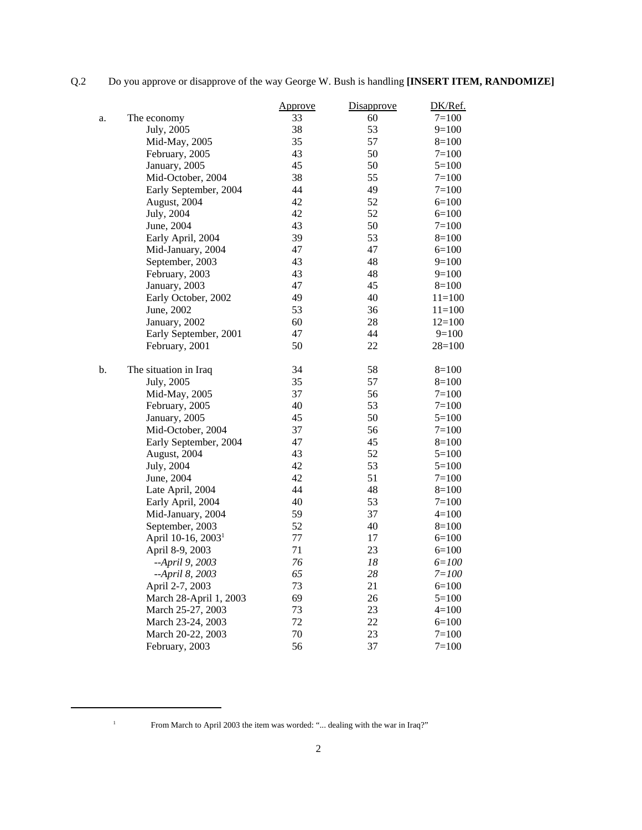Q.2 Do you approve or disapprove of the way George W. Bush is handling **[INSERT ITEM, RANDOMIZE]** 

|    |                                | Approve | <b>Disapprove</b> | DK/Ref.    |
|----|--------------------------------|---------|-------------------|------------|
| a. | The economy                    | 33      | 60                | $7 = 100$  |
|    | July, 2005                     | 38      | 53                | $9=100$    |
|    | Mid-May, 2005                  | 35      | 57                | $8=100$    |
|    | February, 2005                 | 43      | 50                | $7=100$    |
|    | January, 2005                  | 45      | 50                | $5=100$    |
|    | Mid-October, 2004              | 38      | 55                | $7=100$    |
|    | Early September, 2004          | 44      | 49                | $7 = 100$  |
|    | August, 2004                   | 42      | 52                | $6=100$    |
|    | July, 2004                     | 42      | 52                | $6=100$    |
|    | June, 2004                     | 43      | 50                | $7 = 100$  |
|    | Early April, 2004              | 39      | 53                | $8=100$    |
|    | Mid-January, 2004              | 47      | 47                | $6=100$    |
|    | September, 2003                | 43      | 48                | $9=100$    |
|    | February, 2003                 | 43      | 48                | $9=100$    |
|    | January, 2003                  | 47      | 45                | $8=100$    |
|    | Early October, 2002            | 49      | 40                | $11=100$   |
|    | June, 2002                     | 53      | 36                | $11 = 100$ |
|    | January, 2002                  | 60      | 28                | $12=100$   |
|    | Early September, 2001          | 47      | 44                | $9=100$    |
|    | February, 2001                 | 50      | 22                | $28=100$   |
| b. | The situation in Iraq          | 34      | 58                | $8=100$    |
|    | July, 2005                     | 35      | 57                | $8=100$    |
|    | Mid-May, 2005                  | 37      | 56                | $7=100$    |
|    | February, 2005                 | 40      | 53                | $7=100$    |
|    | January, 2005                  | 45      | 50                | $5=100$    |
|    | Mid-October, 2004              | 37      | 56                | $7=100$    |
|    | Early September, 2004          | 47      | 45                | $8=100$    |
|    | August, 2004                   | 43      | 52                | $5=100$    |
|    | July, 2004                     | 42      | 53                | $5=100$    |
|    | June, 2004                     | 42      | 51                | $7=100$    |
|    | Late April, 2004               | 44      | 48                | $8=100$    |
|    | Early April, 2004              | 40      | 53                | $7=100$    |
|    | Mid-January, 2004              | 59      | 37                | $4=100$    |
|    | September, 2003                | 52      | 40                | $8=100$    |
|    | April 10-16, 2003 <sup>1</sup> | 77      | 17                | $6=100$    |
|    | April 8-9, 2003                | 71      | 23                | $6=100$    |
|    | --April 9, 2003                | 76      | 18                | $6 = 100$  |
|    | --April 8, 2003                | 65      | 28                | $7 = 100$  |
|    | April 2-7, 2003                | 73      | 21                | $6=100$    |
|    | March 28-April 1, 2003         | 69      | 26                | $5=100$    |
|    | March 25-27, 2003              | 73      | 23                | $4=100$    |
|    | March 23-24, 2003              | 72      | 22                | $6=100$    |
|    | March 20-22, 2003              | 70      | 23                | $7 = 100$  |
|    | February, 2003                 | 56      | 37                | $7 = 100$  |

<sup>&</sup>lt;sup>1</sup> From March to April 2003 the item was worded: "... dealing with the war in Iraq?"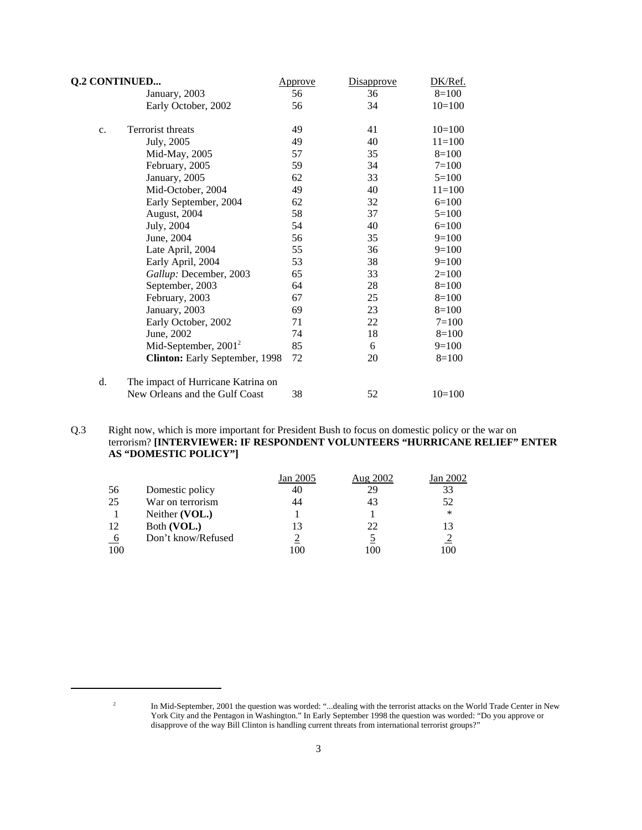| <b>Q.2 CONTINUED</b> |                                    | <u>Approve</u> | Disapprove | DK/Ref.   |
|----------------------|------------------------------------|----------------|------------|-----------|
|                      | January, 2003                      | 56             | 36         | $8=100$   |
|                      | Early October, 2002                | 56             | 34         | $10=100$  |
| c.                   | Terrorist threats                  | 49             | 41         | $10=100$  |
|                      | July, 2005                         | 49             | 40         | $11=100$  |
|                      | Mid-May, 2005                      | 57             | 35         | $8=100$   |
|                      | February, 2005                     | 59             | 34         | $7 = 100$ |
|                      | January, 2005                      | 62             | 33         | $5=100$   |
|                      | Mid-October, 2004                  | 49             | 40         | $11=100$  |
|                      | Early September, 2004              | 62             | 32         | $6=100$   |
|                      | August, 2004                       | 58             | 37         | $5=100$   |
|                      | July, 2004                         | 54             | 40         | $6=100$   |
|                      | June, 2004                         | 56             | 35         | $9=100$   |
|                      | Late April, 2004                   | 55             | 36         | $9=100$   |
|                      | Early April, 2004                  | 53             | 38         | $9=100$   |
|                      | Gallup: December, 2003             | 65             | 33         | $2=100$   |
|                      | September, 2003                    | 64             | 28         | $8=100$   |
|                      | February, 2003                     | 67             | 25         | $8=100$   |
|                      | January, 2003                      | 69             | 23         | $8=100$   |
|                      | Early October, 2002                | 71             | 22         | $7 = 100$ |
|                      | June, 2002                         | 74             | 18         | $8=100$   |
|                      | Mid-September, $2001^2$            | 85             | 6          | $9=100$   |
|                      | Clinton: Early September, 1998     | 72             | 20         | $8=100$   |
| d.                   | The impact of Hurricane Katrina on |                |            |           |
|                      | New Orleans and the Gulf Coast     | 38             | 52         | $10=100$  |

Q.3 Right now, which is more important for President Bush to focus on domestic policy or the war on terrorism? **[INTERVIEWER: IF RESPONDENT VOLUNTEERS "HURRICANE RELIEF" ENTER AS "DOMESTIC POLICY"]** 

|     |                    | Jan 2005 | Aug 2002 | Jan 2002 |
|-----|--------------------|----------|----------|----------|
| 56  | Domestic policy    | 40       | 29       | 33       |
| 25  | War on terrorism   | 44       | 43       | 52       |
|     | Neither (VOL.)     |          |          | *        |
| 12  | Both (VOL.)        | 13       | 22.      | 13       |
| -6  | Don't know/Refused |          |          |          |
| 100 |                    | 100      | 100      | 100      |

 $2<sup>2</sup>$  In Mid-September, 2001 the question was worded: "...dealing with the terrorist attacks on the World Trade Center in New York City and the Pentagon in Washington." In Early September 1998 the question was worded: "Do you approve or disapprove of the way Bill Clinton is handling current threats from international terrorist groups?"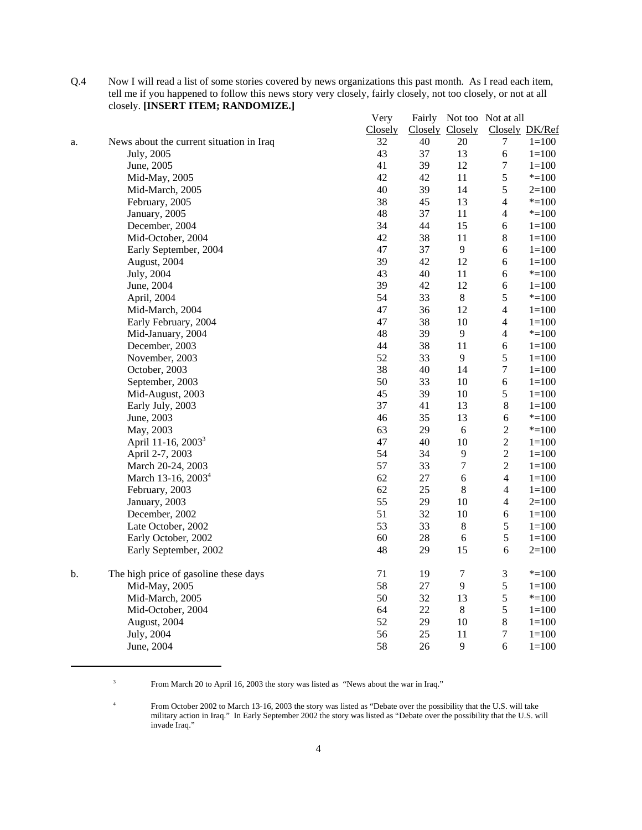|    | closely. [INSERT ITEM; RANDOMIZE.]       |         |    |                  |                           |                |
|----|------------------------------------------|---------|----|------------------|---------------------------|----------------|
|    |                                          | Very    |    |                  | Fairly Not too Not at all |                |
|    |                                          | Closely |    | Closely Closely  |                           | Closely DK/Ref |
| a. | News about the current situation in Iraq | 32      | 40 | 20               | $\tau$                    | $1 = 100$      |
|    | July, 2005                               | 43      | 37 | 13               | $\sqrt{6}$                | $1 = 100$      |
|    | June, 2005                               | 41      | 39 | 12               | $\boldsymbol{7}$          | $1 = 100$      |
|    | Mid-May, 2005                            | 42      | 42 | 11               | 5                         | $* = 100$      |
|    | Mid-March, 2005                          | 40      | 39 | 14               | 5                         | $2=100$        |
|    | February, 2005                           | 38      | 45 | 13               | $\overline{4}$            | $* = 100$      |
|    | January, 2005                            | 48      | 37 | 11               | $\overline{4}$            | $* = 100$      |
|    | December, 2004                           | 34      | 44 | 15               | $\sqrt{6}$                | $1 = 100$      |
|    | Mid-October, 2004                        | 42      | 38 | 11               | $\,8\,$                   | $1 = 100$      |
|    | Early September, 2004                    | 47      | 37 | 9                | 6                         | $1 = 100$      |
|    | August, 2004                             | 39      | 42 | 12               | $\sqrt{6}$                | $1 = 100$      |
|    | July, 2004                               | 43      | 40 | 11               | 6                         | $* = 100$      |
|    | June, 2004                               | 39      | 42 | 12               | 6                         | $1 = 100$      |
|    | April, 2004                              | 54      | 33 | $8\,$            | 5                         | $* = 100$      |
|    | Mid-March, 2004                          | 47      | 36 | 12               | $\overline{4}$            | $1 = 100$      |
|    | Early February, 2004                     | 47      | 38 | 10               | $\overline{4}$            | $1 = 100$      |
|    | Mid-January, 2004                        | 48      | 39 | 9                | $\overline{\mathcal{L}}$  | $* = 100$      |
|    | December, 2003                           | 44      | 38 | 11               | $\sqrt{6}$                | $1 = 100$      |
|    | November, 2003                           | 52      | 33 | $\overline{9}$   | 5                         | $1 = 100$      |
|    | October, 2003                            | 38      | 40 | 14               | $\tau$                    | $1 = 100$      |
|    | September, 2003                          | 50      | 33 | $10\,$           | $\epsilon$                | $1 = 100$      |
|    | Mid-August, 2003                         | 45      | 39 | 10               | 5                         | $1 = 100$      |
|    | Early July, 2003                         | 37      | 41 | 13               | $8\,$                     | $1 = 100$      |
|    | June, 2003                               | 46      | 35 | 13               | $\sqrt{6}$                | $* = 100$      |
|    | May, 2003                                | 63      | 29 | $\sqrt{6}$       | $\overline{c}$            | $* = 100$      |
|    | April 11-16, 2003 <sup>3</sup>           | 47      | 40 | 10               | $\boldsymbol{2}$          | $1 = 100$      |
|    | April 2-7, 2003                          | 54      | 34 | 9                | $\overline{c}$            | $1 = 100$      |
|    | March 20-24, 2003                        | 57      | 33 | $\overline{7}$   | $\overline{c}$            | $1 = 100$      |
|    | March 13-16, 2003 <sup>4</sup>           | 62      | 27 | $\sqrt{6}$       | $\overline{4}$            | $1 = 100$      |
|    | February, 2003                           | 62      | 25 | $8\,$            | $\overline{4}$            | $1 = 100$      |
|    | January, 2003                            | 55      | 29 | $10\,$           | $\overline{4}$            | $2=100$        |
|    | December, 2002                           | 51      | 32 | 10               | $\sqrt{6}$                |                |
|    |                                          | 53      |    |                  | 5                         | $1 = 100$      |
|    | Late October, 2002                       |         | 33 | $\,8\,$          |                           | $1 = 100$      |
|    | Early October, 2002                      | 60      | 28 | $\sqrt{6}$       | $\mathfrak s$             | $1 = 100$      |
|    | Early September, 2002                    | 48      | 29 | 15               | 6                         | $2=100$        |
| b. | The high price of gasoline these days    | 71      | 19 | $\boldsymbol{7}$ | $\mathfrak{Z}$            | $* = 100$      |
|    | Mid-May, 2005                            | 58      | 27 | 9                | 5                         | $1 = 100$      |
|    | Mid-March, 2005                          | 50      | 32 | 13               | 5                         | $* = 100$      |
|    | Mid-October, 2004                        | 64      | 22 | 8                | 5                         | $1 = 100$      |
|    | August, 2004                             | 52      | 29 | $10\,$           | $\,8\,$                   | $1 = 100$      |
|    | July, 2004                               | 56      | 25 | 11               | $\tau$                    | $1 = 100$      |
|    | June, 2004                               | 58      | 26 | 9                | $\sqrt{6}$                | $1 = 100$      |

Q.4 Now I will read a list of some stories covered by news organizations this past month. As I read each item, tell me if you happened to follow this news story very closely, fairly closely, not too closely, or not at all

<sup>3</sup> From March 20 to April 16, 2003 the story was listed as "News about the war in Iraq."

<sup>4</sup> From October 2002 to March 13-16, 2003 the story was listed as "Debate over the possibility that the U.S. will take military action in Iraq." In Early September 2002 the story was listed as "Debate over the possibility that the U.S. will invade Iraq."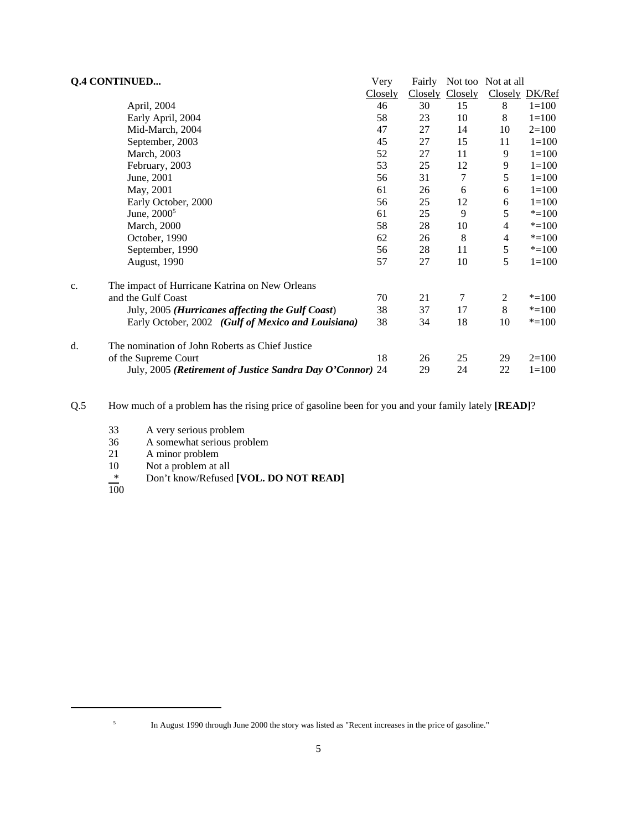|    | <b>Q.4 CONTINUED</b>                                      | Very    | Fairly  |         | Not too Not at all |                |
|----|-----------------------------------------------------------|---------|---------|---------|--------------------|----------------|
|    |                                                           | Closely | Closely | Closely |                    | Closely DK/Ref |
|    | April, 2004                                               | 46      | 30      | 15      | 8                  | $1 = 100$      |
|    | Early April, 2004                                         | 58      | 23      | 10      | 8                  | $1 = 100$      |
|    | Mid-March, 2004                                           | 47      | 27      | 14      | 10                 | $2=100$        |
|    | September, 2003                                           | 45      | 27      | 15      | 11                 | $1 = 100$      |
|    | March, 2003                                               | 52      | 27      | 11      | 9                  | $1 = 100$      |
|    | February, 2003                                            | 53      | 25      | 12      | 9                  | $1 = 100$      |
|    | June, 2001                                                | 56      | 31      | 7       | 5                  | $1 = 100$      |
|    | May, 2001                                                 | 61      | 26      | 6       | 6                  | $1 = 100$      |
|    | Early October, 2000                                       | 56      | 25      | 12      | 6                  | $1 = 100$      |
|    | June, $2000^5$                                            | 61      | 25      | 9       | 5                  | $* = 100$      |
|    | <b>March</b> , 2000                                       | 58      | 28      | 10      | 4                  | $* = 100$      |
|    | October, 1990                                             | 62      | 26      | 8       | 4                  | $* = 100$      |
|    | September, 1990                                           | 56      | 28      | 11      | $\sqrt{5}$         | $* = 100$      |
|    | <b>August</b> , 1990                                      | 57      | 27      | 10      | 5                  | $1 = 100$      |
| c. | The impact of Hurricane Katrina on New Orleans            |         |         |         |                    |                |
|    | and the Gulf Coast                                        | 70      | 21      | 7       | 2                  | $* = 100$      |
|    | July, 2005 (Hurricanes affecting the Gulf Coast)          | 38      | 37      | 17      | $8\,$              | $* = 100$      |
|    | Early October, 2002 (Gulf of Mexico and Louisiana)        | 38      | 34      | 18      | 10                 | $* = 100$      |
| d. | The nomination of John Roberts as Chief Justice           |         |         |         |                    |                |
|    | of the Supreme Court                                      | 18      | 26      | 25      | 29                 | $2=100$        |
|    | July, 2005 (Retirement of Justice Sandra Day O'Connor) 24 |         | 29      | 24      | 22                 | $1 = 100$      |

Q.5 How much of a problem has the rising price of gasoline been for you and your family lately **[READ]**?

- 33 A very serious problem<br>36 A somewhat serious pro
- A somewhat serious problem
- 21 A minor problem
- 10 Not a problem at all
- \* Don't know/Refused **[VOL. DO NOT READ]**
- $\overline{100}$

<sup>5</sup> In August 1990 through June 2000 the story was listed as "Recent increases in the price of gasoline."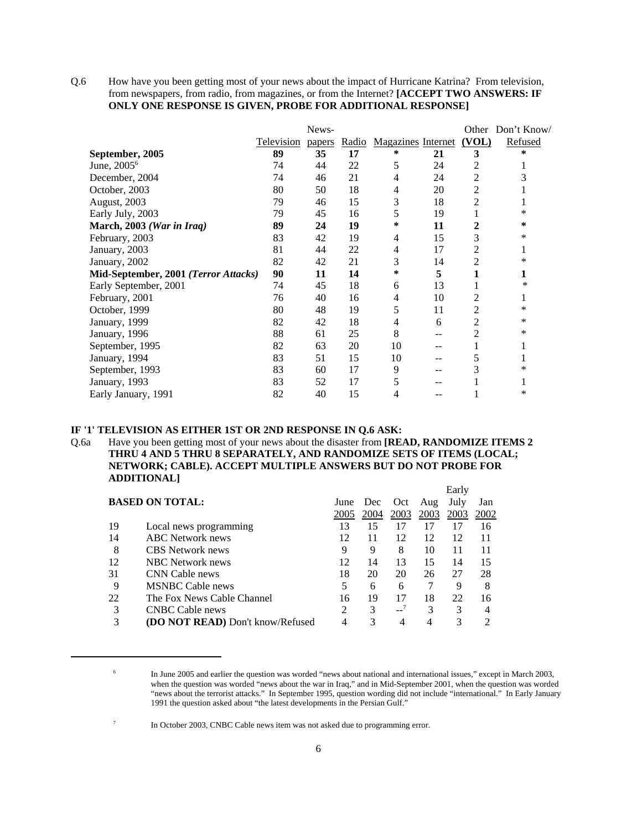Q.6 How have you been getting most of your news about the impact of Hurricane Katrina? From television, from newspapers, from radio, from magazines, or from the Internet? **[ACCEPT TWO ANSWERS: IF ONLY ONE RESPONSE IS GIVEN, PROBE FOR ADDITIONAL RESPONSE]**

|                                      |                   | News-  |    |                                |    |                | Other Don't Know/ |
|--------------------------------------|-------------------|--------|----|--------------------------------|----|----------------|-------------------|
|                                      | <b>Television</b> | papers |    | Radio Magazines Internet (VOL) |    |                | <b>Refused</b>    |
| September, 2005                      | 89                | 35     | 17 | ∗                              | 21 | 3              | *                 |
| June, 2005 <sup>6</sup>              | 74                | 44     | 22 | 5                              | 24 | 2              | 1                 |
| December, 2004                       | 74                | 46     | 21 | 4                              | 24 | 2              | 3                 |
| October, 2003                        | 80                | 50     | 18 | 4                              | 20 | 2              |                   |
| August, 2003                         | 79                | 46     | 15 | 3                              | 18 | $\overline{c}$ | 1                 |
| Early July, 2003                     | 79                | 45     | 16 | 5                              | 19 | 1              | *                 |
| March, 2003 (War in Iraq)            | 89                | 24     | 19 | ∗                              | 11 | 2              | *                 |
| February, 2003                       | 83                | 42     | 19 | 4                              | 15 | 3              | *                 |
| January, 2003                        | 81                | 44     | 22 | 4                              | 17 | 2              | 1                 |
| January, 2002                        | 82                | 42     | 21 | 3                              | 14 | $\overline{2}$ | *                 |
| Mid-September, 2001 (Terror Attacks) | 90                | 11     | 14 | ∗                              | 5  | 1              | 1                 |
| Early September, 2001                | 74                | 45     | 18 | 6                              | 13 | 1              | ∗                 |
| February, 2001                       | 76                | 40     | 16 | 4                              | 10 | 2              | 1                 |
| October, 1999                        | 80                | 48     | 19 | 5                              | 11 | 2              | ∗                 |
| January, 1999                        | 82                | 42     | 18 | 4                              | 6  | 2              | *                 |
| January, 1996                        | 88                | 61     | 25 | 8                              |    | 2              | *                 |
| September, 1995                      | 82                | 63     | 20 | 10                             |    | 1              | 1                 |
| January, 1994                        | 83                | 51     | 15 | 10                             |    | 5              | 1                 |
| September, 1993                      | 83                | 60     | 17 | 9                              |    | 3              | *                 |
| January, 1993                        | 83                | 52     | 17 | 5                              |    |                | 1                 |
| Early January, 1991                  | 82                | 40     | 15 | 4                              |    |                | *                 |

#### **IF '1' TELEVISION AS EITHER 1ST OR 2ND RESPONSE IN Q.6 ASK:**

Q.6a Have you been getting most of your news about the disaster from **[READ, RANDOMIZE ITEMS 2 THRU 4 AND 5 THRU 8 SEPARATELY, AND RANDOMIZE SETS OF ITEMS (LOCAL; NETWORK; CABLE). ACCEPT MULTIPLE ANSWERS BUT DO NOT PROBE FOR ADDITIONAL]**

|    |                                         |                |      |          |      | Early |      |
|----|-----------------------------------------|----------------|------|----------|------|-------|------|
|    | <b>BASED ON TOTAL:</b>                  | June           | Dec  | Oct      | Aug  | July  | Jan  |
|    |                                         | 2005           | 2004 | 2003     | 2003 | 2003  | 2002 |
| 19 | Local news programming                  | 13             | 15   | 17       | 17   | 17    | 16   |
| 14 | <b>ABC</b> Network news                 | 12             | 11   | 12       | 12   | 12    |      |
| 8  | CBS Network news                        | 9              | 9    | 8        | 10   | 11    |      |
| 12 | NBC Network news                        | 12             | 14   | 13       | 15   | 14    | 15   |
| 31 | CNN Cable news                          | 18             | 20   | 20       | 26   | 27    | 28   |
| 9  | <b>MSNBC</b> Cable news                 | 5              | 6    | 6        |      | 9     | 8    |
| 22 | The Fox News Cable Channel              | 16             | 19   | 17       | 18   | 22    | 16   |
| 3  | CNBC Cable news                         | $\mathfrak{D}$ | 3    | $-2^{7}$ | 3    | 3     |      |
| 3  | <b>(DO NOT READ)</b> Don't know/Refused | 4              | 3    | 4        | 4    | 3     |      |

<sup>&</sup>lt;sup>6</sup> In June 2005 and earlier the question was worded "news about national and international issues," except in March 2003, when the question was worded "news about the war in Iraq," and in Mid-September 2001, when the question was worded "news about the terrorist attacks." In September 1995, question wording did not include "international." In Early January 1991 the question asked about "the latest developments in the Persian Gulf."

<sup>7</sup> In October 2003, CNBC Cable news item was not asked due to programming error.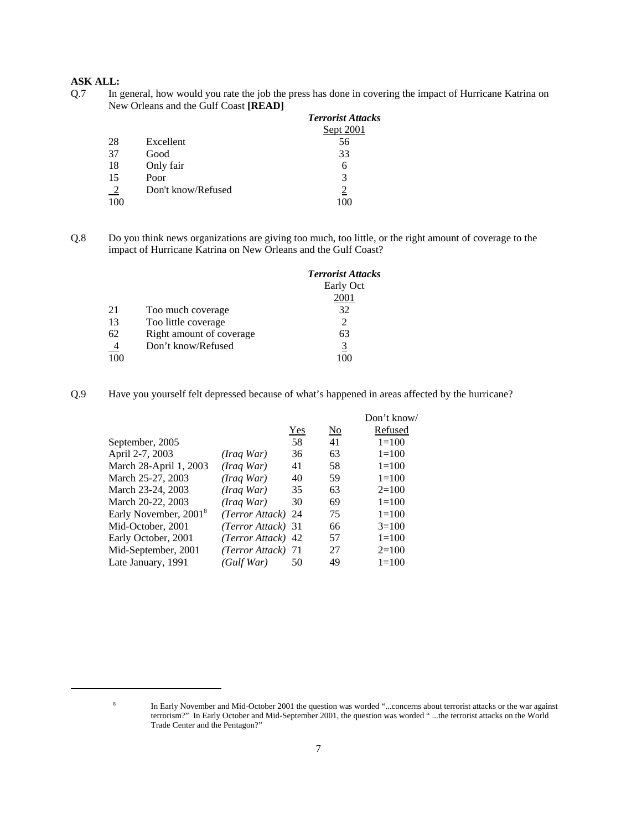# **ASK ALL:**

Q.7 In general, how would you rate the job the press has done in covering the impact of Hurricane Katrina on New Orleans and the Gulf Coast **[READ]**

|                  |                    | <b>Terrorist Attacks</b> |
|------------------|--------------------|--------------------------|
|                  |                    | Sept 2001                |
| 28               | Excellent          | 56                       |
| 37               | Good               | 33                       |
| 18               | Only fair          | 6                        |
| 15               | Poor               | 3                        |
| $\frac{2}{2}$    | Don't know/Refused |                          |
| $\overline{100}$ |                    |                          |

Q.8 Do you think news organizations are giving too much, too little, or the right amount of coverage to the impact of Hurricane Katrina on New Orleans and the Gulf Coast?

|               |                          | <b>Terrorist Attacks</b> |
|---------------|--------------------------|--------------------------|
|               |                          | Early Oct                |
|               |                          | 2001                     |
| 21            | Too much coverage        | 32                       |
| 13            | Too little coverage      | $\mathfrak{D}$           |
| 62            | Right amount of coverage | 63                       |
| $\frac{4}{1}$ | Don't know/Refused       | 3                        |
| 100           |                          |                          |

Q.9 Have you yourself felt depressed because of what's happened in areas affected by the hurricane?

|     |                                                                                                                                                                       | Don't know/ |
|-----|-----------------------------------------------------------------------------------------------------------------------------------------------------------------------|-------------|
| Yes | $\overline{\text{No}}$                                                                                                                                                | Refused     |
| 58  | 41                                                                                                                                                                    | $1=100$     |
| 36  | 63                                                                                                                                                                    | $1 = 100$   |
| 41  | 58                                                                                                                                                                    | $1=100$     |
| 40  | 59                                                                                                                                                                    | $1=100$     |
| 35  | 63                                                                                                                                                                    | $2=100$     |
| 30  | 69                                                                                                                                                                    | $1 = 100$   |
|     | 75                                                                                                                                                                    | $1=100$     |
|     | 66                                                                                                                                                                    | $3=100$     |
| 42  | 57                                                                                                                                                                    | $1 = 100$   |
|     | 27                                                                                                                                                                    | $2=100$     |
| 50  | 49                                                                                                                                                                    | $1 = 100$   |
|     | (Iraq War)<br>(Iraq War)<br>(Iraq War)<br>(Iraq War)<br>(Iraq War)<br>(Terror Attack) 24<br>(Terror Attack) 31<br>(Terror Attack)<br>(Terror Attack) 71<br>(Gulf War) |             |

<sup>&</sup>lt;sup>8</sup> In Early November and Mid-October 2001 the question was worded "...concerns about terrorist attacks or the war against terrorism?" In Early October and Mid-September 2001, the question was worded " ...the terrorist attacks on the World Trade Center and the Pentagon?"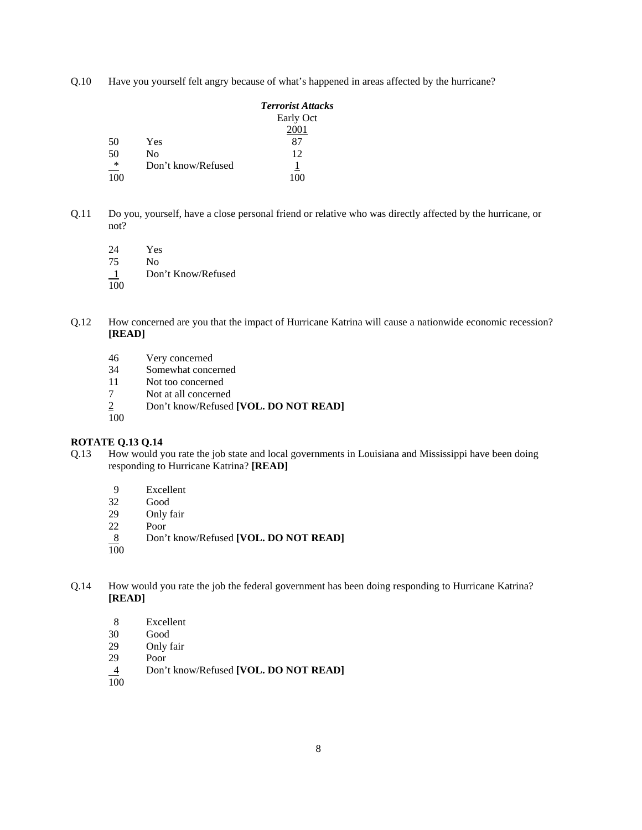Q.10 Have you yourself felt angry because of what's happened in areas affected by the hurricane?

|        |                    | <b>Terrorist Attacks</b> |
|--------|--------------------|--------------------------|
|        |                    | Early Oct                |
|        |                    | 2001                     |
| 50     | Yes                | 87                       |
| 50     | No                 | 12                       |
| $\ast$ | Don't know/Refused |                          |
| 100    |                    |                          |

Q.11 Do you, yourself, have a close personal friend or relative who was directly affected by the hurricane, or not?

24 Yes 75 No 1 Don't Know/Refused  $\overline{100}$ 

- Q.12 How concerned are you that the impact of Hurricane Katrina will cause a nationwide economic recession? **[READ]**
	- 46 Very concerned<br>34 Somewhat conce
	- Somewhat concerned
	- 11 Not too concerned
	- 7 Not at all concerned
	- 2 Don't know/Refused **[VOL. DO NOT READ]**   $\frac{2}{100}$
	-

#### **ROTATE Q.13 Q.14**

- Q.13 How would you rate the job state and local governments in Louisiana and Mississippi have been doing responding to Hurricane Katrina? **[READ]**
	- 9 Excellent<br>32 Good
	- 32 Good
	- 29 Only fair<br>22 Poor
	- Poor
	- 8 Don't know/Refused **[VOL. DO NOT READ]**
	- 100
- Q.14 How would you rate the job the federal government has been doing responding to Hurricane Katrina? **[READ]**
	- 8 Excellent<br>30 Good
	- Good
	- 29 Only fair<br>29 Poor
	- Poor
	- 4 Don't know/Refused **[VOL. DO NOT READ]**   $\frac{4}{100}$
	-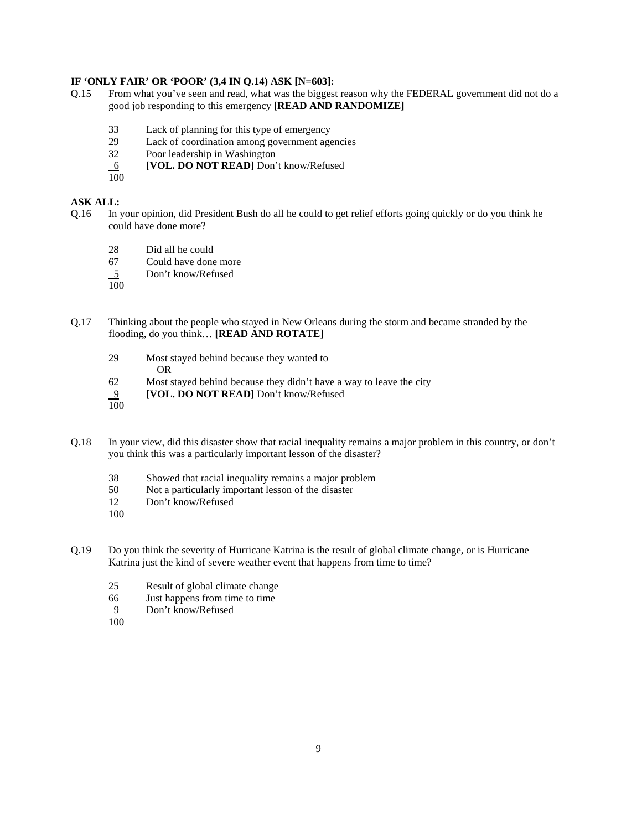### **IF 'ONLY FAIR' OR 'POOR' (3,4 IN Q.14) ASK [N=603]:**

- Q.15 From what you've seen and read, what was the biggest reason why the FEDERAL government did not do a good job responding to this emergency **[READ AND RANDOMIZE]**
	- 33 Lack of planning for this type of emergency
	- 29 Lack of coordination among government agencies
	- 32 Poor leadership in Washington
	- 6 **[VOL. DO NOT READ]** Don't know/Refused
	- 100

#### **ASK ALL:**

- Q.16 In your opinion, did President Bush do all he could to get relief efforts going quickly or do you think he could have done more?
	- 28 Did all he could
	- 67 Could have done more
	- 5 Don't know/Refused
	- $\overline{100}$
- Q.17 Thinking about the people who stayed in New Orleans during the storm and became stranded by the flooding, do you think… **[READ AND ROTATE]**
	- 29 Most stayed behind because they wanted to OR
	- 62 Most stayed behind because they didn't have a way to leave the city
	- 9 **[VOL. DO NOT READ]** Don't know/Refused
	- 100
- Q.18 In your view, did this disaster show that racial inequality remains a major problem in this country, or don't you think this was a particularly important lesson of the disaster?
	- 38 Showed that racial inequality remains a major problem
	- 50 Not a particularly important lesson of the disaster
	- 12 Don't know/Refused
	- $\overline{100}$
- Q.19 Do you think the severity of Hurricane Katrina is the result of global climate change, or is Hurricane Katrina just the kind of severe weather event that happens from time to time?
	- 25 Result of global climate change
	- 66 Just happens from time to time
	- 9 Don't know/Refused
	- 100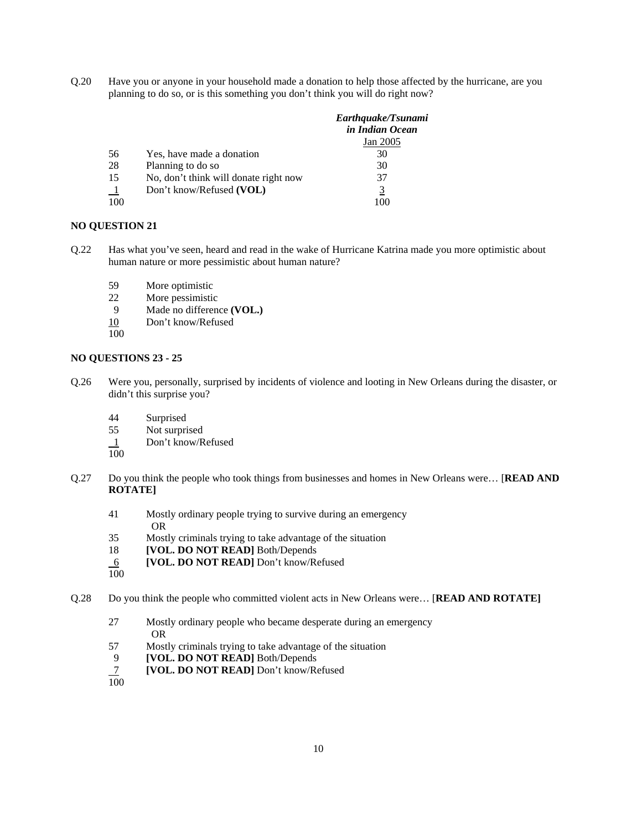Q.20 Have you or anyone in your household made a donation to help those affected by the hurricane, are you planning to do so, or is this something you don't think you will do right now?

|         |                                       | Earthquake/Tsunami<br>in Indian Ocean |
|---------|---------------------------------------|---------------------------------------|
|         |                                       | Jan 2005                              |
| 56      | Yes, have made a donation             | 30                                    |
| 28      | Planning to do so                     | 30                                    |
| 15      | No, don't think will donate right now | 37                                    |
| $\perp$ | Don't know/Refused (VOL)              | 3                                     |
| 100     |                                       | 100                                   |
|         |                                       |                                       |

### **NO QUESTION 21**

- Q.22 Has what you've seen, heard and read in the wake of Hurricane Katrina made you more optimistic about human nature or more pessimistic about human nature?
	- 59 More optimistic
	- 22 More pessimistic
	- 9 Made no difference **(VOL.)**
	- 10 Don't know/Refused
	- 100

### **NO QUESTIONS 23 - 25**

- Q.26 Were you, personally, surprised by incidents of violence and looting in New Orleans during the disaster, or didn't this surprise you?
	- 44 Surprised
	- 55 Not surprised
	- 1 Don't know/Refused
	- 100
- Q.27 Do you think the people who took things from businesses and homes in New Orleans were… [**READ AND ROTATE]**
	- 41 Mostly ordinary people trying to survive during an emergency OR
	- 35 Mostly criminals trying to take advantage of the situation
	- 18 **[VOL. DO NOT READ]** Both/Depends
	- 6 **[VOL. DO NOT READ]** Don't know/Refused
	- 100

Q.28 Do you think the people who committed violent acts in New Orleans were… [**READ AND ROTATE]**

- 27 Mostly ordinary people who became desperate during an emergency OR
- 57 Mostly criminals trying to take advantage of the situation
- 9 **[VOL. DO NOT READ]** Both/Depends
- 7 **[VOL. DO NOT READ]** Don't know/Refused
- $\frac{7}{100}$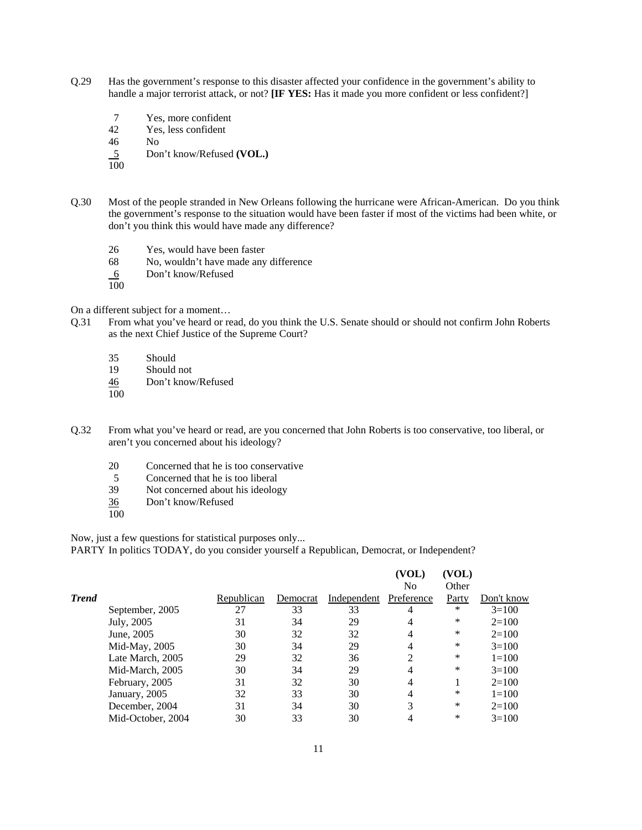- Q.29 Has the government's response to this disaster affected your confidence in the government's ability to handle a major terrorist attack, or not? **[IF YES:** Has it made you more confident or less confident?]
	- 7 Yes, more confident
	- 42 Yes, less confident

46 No

5 Don't know/Refused **(VOL.)**

100

- Q.30 Most of the people stranded in New Orleans following the hurricane were African-American. Do you think the government's response to the situation would have been faster if most of the victims had been white, or don't you think this would have made any difference?
	- 26 Yes, would have been faster
	- 68 No, wouldn't have made any difference
	- 6 Don't know/Refused
	- 100

On a different subject for a moment…

- Q.31 From what you've heard or read, do you think the U.S. Senate should or should not confirm John Roberts as the next Chief Justice of the Supreme Court?
	- 35 Should
	- Should not
	- 46 Don't know/Refused
	- 100
- Q.32 From what you've heard or read, are you concerned that John Roberts is too conservative, too liberal, or aren't you concerned about his ideology?
	- 20 Concerned that he is too conservative
	- 5 Concerned that he is too liberal
	- 39 Not concerned about his ideology
	- 36 Don't know/Refused
	- $\overline{100}$

Now, just a few questions for statistical purposes only...

PARTY In politics TODAY, do you consider yourself a Republican, Democrat, or Independent?

|              |                   |            |          |             | (VOL)      | (VOL)  |            |
|--------------|-------------------|------------|----------|-------------|------------|--------|------------|
|              |                   |            |          |             | No         | Other  |            |
| <b>Trend</b> |                   | Republican | Democrat | Independent | Preference | Party  | Don't know |
|              | September, 2005   | 27         | 33       | 33          | 4          | $\ast$ | $3=100$    |
|              | July, 2005        | 31         | 34       | 29          | 4          | *      | $2=100$    |
|              | June, 2005        | 30         | 32       | 32          | 4          | *      | $2=100$    |
|              | Mid-May, $2005$   | 30         | 34       | 29          | 4          | *      | $3=100$    |
|              | Late March, 2005  | 29         | 32       | 36          | 2          | *      | $1 = 100$  |
|              | Mid-March, 2005   | 30         | 34       | 29          | 4          | *      | $3=100$    |
|              | February, 2005    | 31         | 32       | 30          | 4          |        | $2=100$    |
|              | January, 2005     | 32         | 33       | 30          | 4          | *      | $1 = 100$  |
|              | December, 2004    | 31         | 34       | 30          | 3          | *      | $2=100$    |
|              | Mid-October, 2004 | 30         | 33       | 30          |            | *      | $3=100$    |